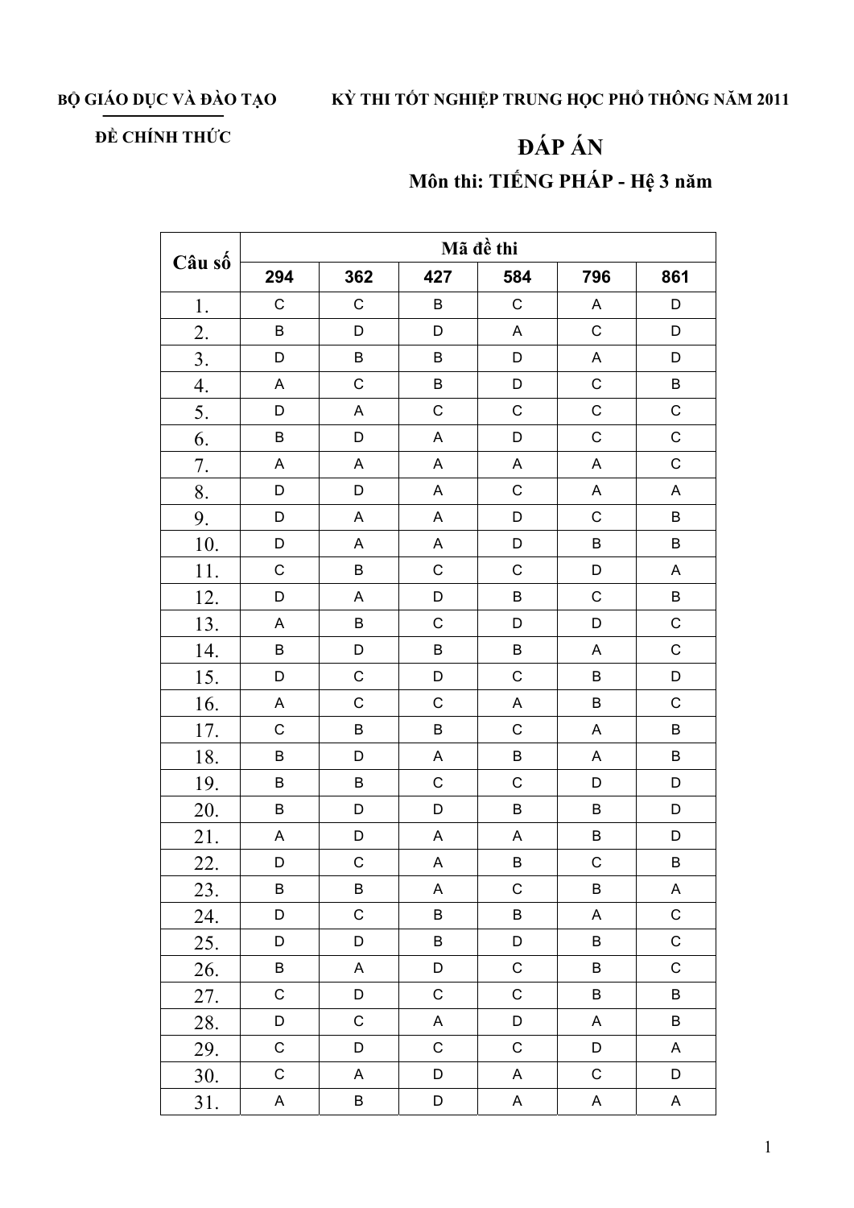BỘ GIÁO DỤC VÀ ĐÀO TẠO

## KỪ THI TỐT NGHIỆP TRUNG HỌC PHỔ THÔNG NĂM 2011

## ĐỀ CHÍNH THỨC

## ĐÁP ÁN Môn thi: TIẾNG PHÁP - Hệ 3 năm

| Câu số           | Mã đề thi   |                           |             |                           |             |                           |  |  |
|------------------|-------------|---------------------------|-------------|---------------------------|-------------|---------------------------|--|--|
|                  | 294         | 362                       | 427         | 584                       | 796         | 861                       |  |  |
| 1.               | $\mathsf C$ | $\mathsf C$               | $\sf B$     | $\mathsf C$               | $\mathsf A$ | D                         |  |  |
| 2.               | B           | D                         | D           | A                         | $\mathsf C$ | $\mathsf D$               |  |  |
| 3.               | D           | $\sf B$                   | $\sf B$     | D                         | $\mathsf A$ | D                         |  |  |
| $\overline{4}$ . | A           | $\mathsf C$               | $\sf B$     | D                         | $\mathsf C$ | $\sf B$                   |  |  |
| 5.               | $\mathsf D$ | $\boldsymbol{\mathsf{A}}$ | $\mathsf C$ | $\mathsf{C}$              | $\mathsf C$ | $\mathsf C$               |  |  |
| 6.               | B           | D                         | A           | D                         | $\mathsf C$ | $\mathsf C$               |  |  |
| 7.               | A           | A                         | A           | $\mathsf A$               | A           | $\mathsf C$               |  |  |
| 8.               | D           | D                         | A           | $\mathsf C$               | $\mathsf A$ | $\boldsymbol{\mathsf{A}}$ |  |  |
| 9.               | D           | $\mathsf A$               | A           | D                         | $\mathsf C$ | $\sf B$                   |  |  |
| 10.              | D           | $\boldsymbol{\mathsf{A}}$ | A           | D                         | $\sf B$     | $\sf B$                   |  |  |
| 11.              | $\mathsf C$ | $\sf B$                   | С           | $\mathsf C$               | D           | $\mathsf A$               |  |  |
| 12.              | D           | $\boldsymbol{\mathsf{A}}$ | D           | B                         | $\mathsf C$ | $\sf B$                   |  |  |
| 13.              | A           | $\sf B$                   | $\mathsf C$ | D                         | D           | $\mathsf C$               |  |  |
| 14.              | B           | D                         | $\sf B$     | $\sf B$                   | $\mathsf A$ | $\mathsf C$               |  |  |
| 15.              | D           | $\mathsf C$               | D           | C                         | B           | D                         |  |  |
| 16.              | A           | $\mathsf C$               | $\mathsf C$ | $\boldsymbol{\mathsf{A}}$ | $\sf B$     | $\mathsf C$               |  |  |
| 17.              | $\mathsf C$ | $\sf B$                   | $\sf B$     | $\mathsf C$               | $\mathsf A$ | $\sf B$                   |  |  |
| 18.              | B           | D                         | A           | $\sf B$                   | A           | $\sf B$                   |  |  |
| 19.              | B           | $\sf B$                   | $\mathsf C$ | $\mathsf C$               | D           | D                         |  |  |
| 20.              | $\sf B$     | D                         | D           | $\sf B$                   | $\sf B$     | D                         |  |  |
| 21.              | A           | D                         | A           | A                         | B           | D                         |  |  |
| 22.              | D           | $\mathsf C$               | A           | B                         | $\mathsf C$ | B                         |  |  |
| 23.              | B           | B                         | A           | $\mathsf C$               | B           | A                         |  |  |
| 24.              | D           | $\mathsf C$               | B           | $\sf B$                   | A           | $\mathsf C$               |  |  |
| 25.              | D           | D                         | B           | D                         | B           | $\mathsf C$               |  |  |
| 26.              | B           | A                         | D           | $\mathsf C$               | $\sf B$     | $\mathsf C$               |  |  |
| 27.              | $\mathsf C$ | D                         | $\mathsf C$ | $\mathsf C$               | B           | B                         |  |  |
| 28.              | D           | $\mathsf C$               | $\mathsf A$ | $\mathsf D$               | A           | $\sf B$                   |  |  |
| 29.              | $\mathsf C$ | D                         | $\mathsf C$ | $\mathsf C$               | D           | A                         |  |  |
| 30.              | $\mathsf C$ | A                         | D           | $\mathsf A$               | $\mathsf C$ | D                         |  |  |
| 31.              | $\mathsf A$ | B                         | D           | A                         | A           | A                         |  |  |